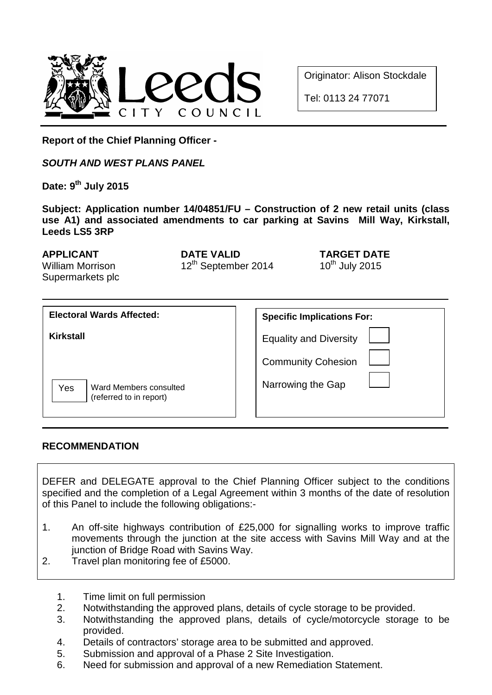

Originator: Alison Stockdale

Tel: 0113 24 77071

**Report of the Chief Planning Officer -**

*SOUTH AND WEST PLANS PANEL*

**Date: 9th July 2015**

**Subject: Application number 14/04851/FU – Construction of 2 new retail units (class use A1) and associated amendments to car parking at Savins Mill Way, Kirkstall, Leeds LS5 3RP**

William Morrison Supermarkets plc

**APPLICANT DATE VALID TARGET DATE**<br>
William Morrison **12<sup>th</sup> September 2014** 10<sup>th</sup> July 2015  $12<sup>th</sup>$  September 2014

| <b>Electoral Wards Affected:</b>                         | <b>Specific Implications For:</b>              |
|----------------------------------------------------------|------------------------------------------------|
| <b>Kirkstall</b>                                         | <b>Equality and Diversity</b>                  |
| Yes<br>Ward Members consulted<br>(referred to in report) | <b>Community Cohesion</b><br>Narrowing the Gap |

#### **RECOMMENDATION**

DEFER and DELEGATE approval to the Chief Planning Officer subject to the conditions specified and the completion of a Legal Agreement within 3 months of the date of resolution of this Panel to include the following obligations:-

- 1. An off-site highways contribution of £25,000 for signalling works to improve traffic movements through the junction at the site access with Savins Mill Way and at the junction of Bridge Road with Savins Way.
- 2. Travel plan monitoring fee of £5000.
	- 1. Time limit on full permission
	- 2. Notwithstanding the approved plans, details of cycle storage to be provided.<br>3. Notwithstanding the approved plans, details of cycle/motorcycle storage
	- 3. Notwithstanding the approved plans, details of cycle/motorcycle storage to be provided.
	- 4. Details of contractors' storage area to be submitted and approved.
	- 5. Submission and approval of a Phase 2 Site Investigation.
	- 6. Need for submission and approval of a new Remediation Statement.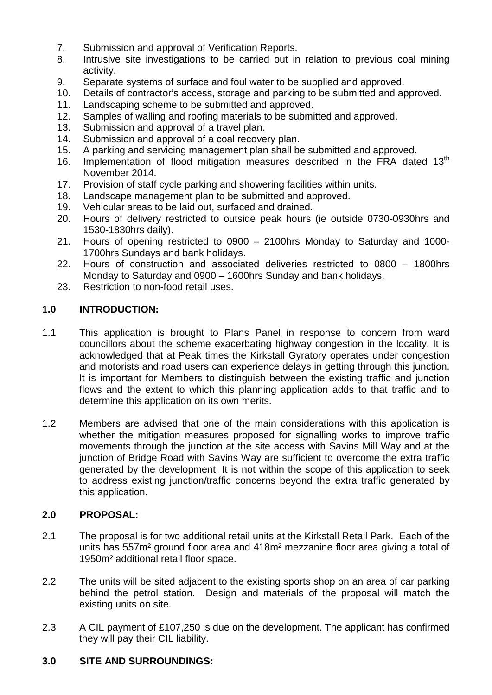- 7. Submission and approval of Verification Reports.<br>8. Intrusive site investigations to be carried out in
- Intrusive site investigations to be carried out in relation to previous coal mining activity.
- 9. Separate systems of surface and foul water to be supplied and approved.
- 10. Details of contractor's access, storage and parking to be submitted and approved.<br>11. Landscaping scheme to be submitted and approved.
- Landscaping scheme to be submitted and approved.
- 12. Samples of walling and roofing materials to be submitted and approved.<br>13. Submission and approval of a travel plan.
- 13. Submission and approval of a travel plan.<br>14. Submission and approval of a coal recove
- 14. Submission and approval of a coal recovery plan.<br>15. A parking and servicing management plan shall be
- 15. A parking and servicing management plan shall be submitted and approved.<br>16. Implementation of flood mitigation measures described in the FRA date
- Implementation of flood mitigation measures described in the FRA dated 13<sup>th</sup> November 2014.
- 17. Provision of staff cycle parking and showering facilities within units.<br>18. Landscape management plan to be submitted and approved.
- Landscape management plan to be submitted and approved.
- 19. Vehicular areas to be laid out, surfaced and drained.
- 20. Hours of delivery restricted to outside peak hours (ie outside 0730-0930hrs and 1530-1830hrs daily).
- 21. Hours of opening restricted to 0900 2100hrs Monday to Saturday and 1000- 1700hrs Sundays and bank holidays.
- 22. Hours of construction and associated deliveries restricted to 0800 1800hrs Monday to Saturday and 0900 – 1600hrs Sunday and bank holidays.
- 23. Restriction to non-food retail uses.

#### **1.0 INTRODUCTION:**

- 1.1 This application is brought to Plans Panel in response to concern from ward councillors about the scheme exacerbating highway congestion in the locality. It is acknowledged that at Peak times the Kirkstall Gyratory operates under congestion and motorists and road users can experience delays in getting through this junction. It is important for Members to distinguish between the existing traffic and junction flows and the extent to which this planning application adds to that traffic and to determine this application on its own merits.
- 1.2 Members are advised that one of the main considerations with this application is whether the mitigation measures proposed for signalling works to improve traffic movements through the junction at the site access with Savins Mill Way and at the junction of Bridge Road with Savins Way are sufficient to overcome the extra traffic generated by the development. It is not within the scope of this application to seek to address existing junction/traffic concerns beyond the extra traffic generated by this application.

#### **2.0 PROPOSAL:**

- 2.1 The proposal is for two additional retail units at the Kirkstall Retail Park. Each of the units has 557m² ground floor area and 418m² mezzanine floor area giving a total of 1950m² additional retail floor space.
- 2.2 The units will be sited adjacent to the existing sports shop on an area of car parking behind the petrol station. Design and materials of the proposal will match the existing units on site.
- 2.3 A CIL payment of £107,250 is due on the development. The applicant has confirmed they will pay their CIL liability.

#### **3.0 SITE AND SURROUNDINGS:**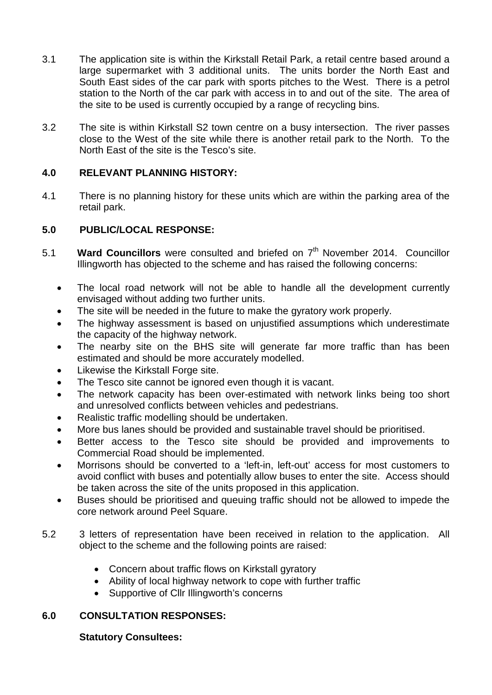- 3.1 The application site is within the Kirkstall Retail Park, a retail centre based around a large supermarket with 3 additional units. The units border the North East and South East sides of the car park with sports pitches to the West. There is a petrol station to the North of the car park with access in to and out of the site. The area of the site to be used is currently occupied by a range of recycling bins.
- 3.2 The site is within Kirkstall S2 town centre on a busy intersection. The river passes close to the West of the site while there is another retail park to the North. To the North East of the site is the Tesco's site.

## **4.0 RELEVANT PLANNING HISTORY:**

4.1 There is no planning history for these units which are within the parking area of the retail park.

# **5.0 PUBLIC/LOCAL RESPONSE:**

- 5.1 **Ward Councillors** were consulted and briefed on 7<sup>th</sup> November 2014. Councillor Illingworth has objected to the scheme and has raised the following concerns:
	- The local road network will not be able to handle all the development currently envisaged without adding two further units.
	- The site will be needed in the future to make the gyratory work properly.
	- The highway assessment is based on unjustified assumptions which underestimate the capacity of the highway network.
	- The nearby site on the BHS site will generate far more traffic than has been estimated and should be more accurately modelled.
	- Likewise the Kirkstall Forge site.
	- The Tesco site cannot be ignored even though it is vacant.
	- The network capacity has been over-estimated with network links being too short and unresolved conflicts between vehicles and pedestrians.
	- Realistic traffic modelling should be undertaken.
	- More bus lanes should be provided and sustainable travel should be prioritised.
	- Better access to the Tesco site should be provided and improvements to Commercial Road should be implemented.
	- Morrisons should be converted to a 'left-in, left-out' access for most customers to avoid conflict with buses and potentially allow buses to enter the site. Access should be taken across the site of the units proposed in this application.
	- Buses should be prioritised and queuing traffic should not be allowed to impede the core network around Peel Square.
- 5.2 3 letters of representation have been received in relation to the application. All object to the scheme and the following points are raised:
	- Concern about traffic flows on Kirkstall gyratory
	- Ability of local highway network to cope with further traffic
	- Supportive of Cllr Illingworth's concerns

## **6.0 CONSULTATION RESPONSES:**

#### **Statutory Consultees:**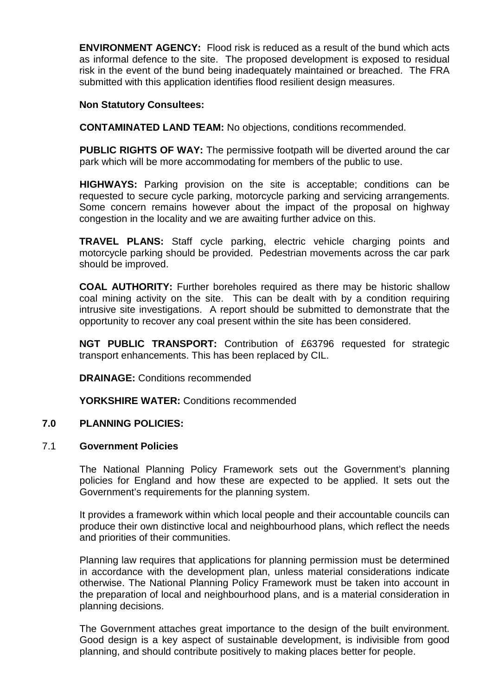**ENVIRONMENT AGENCY:** Flood risk is reduced as a result of the bund which acts as informal defence to the site. The proposed development is exposed to residual risk in the event of the bund being inadequately maintained or breached. The FRA submitted with this application identifies flood resilient design measures.

#### **Non Statutory Consultees:**

**CONTAMINATED LAND TEAM:** No objections, conditions recommended.

**PUBLIC RIGHTS OF WAY:** The permissive footpath will be diverted around the car park which will be more accommodating for members of the public to use.

**HIGHWAYS:** Parking provision on the site is acceptable; conditions can be requested to secure cycle parking, motorcycle parking and servicing arrangements. Some concern remains however about the impact of the proposal on highway congestion in the locality and we are awaiting further advice on this.

**TRAVEL PLANS:** Staff cycle parking, electric vehicle charging points and motorcycle parking should be provided. Pedestrian movements across the car park should be improved.

**COAL AUTHORITY:** Further boreholes required as there may be historic shallow coal mining activity on the site. This can be dealt with by a condition requiring intrusive site investigations. A report should be submitted to demonstrate that the opportunity to recover any coal present within the site has been considered.

**NGT PUBLIC TRANSPORT:** Contribution of £63796 requested for strategic transport enhancements. This has been replaced by CIL.

**DRAINAGE:** Conditions recommended

**YORKSHIRE WATER:** Conditions recommended

#### **7.0 PLANNING POLICIES:**

#### 7.1 **Government Policies**

The National Planning Policy Framework sets out the Government's planning policies for England and how these are expected to be applied. It sets out the Government's requirements for the planning system.

It provides a framework within which local people and their accountable councils can produce their own distinctive local and neighbourhood plans, which reflect the needs and priorities of their communities.

Planning law requires that applications for planning permission must be determined in accordance with the development plan, unless material considerations indicate otherwise. The National Planning Policy Framework must be taken into account in the preparation of local and neighbourhood plans, and is a material consideration in planning decisions.

The Government attaches great importance to the design of the built environment. Good design is a key aspect of sustainable development, is indivisible from good planning, and should contribute positively to making places better for people.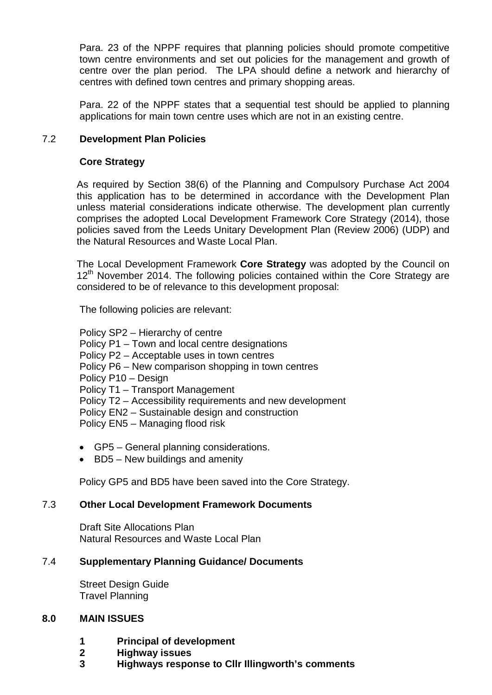Para. 23 of the NPPF requires that planning policies should promote competitive town centre environments and set out policies for the management and growth of centre over the plan period. The LPA should define a network and hierarchy of centres with defined town centres and primary shopping areas.

Para. 22 of the NPPF states that a sequential test should be applied to planning applications for main town centre uses which are not in an existing centre.

#### 7.2 **Development Plan Policies**

#### **Core Strategy**

As required by Section 38(6) of the Planning and Compulsory Purchase Act 2004 this application has to be determined in accordance with the Development Plan unless material considerations indicate otherwise. The development plan currently comprises the adopted Local Development Framework Core Strategy (2014), those policies saved from the Leeds Unitary Development Plan (Review 2006) (UDP) and the Natural Resources and Waste Local Plan.

The Local Development Framework **Core Strategy** was adopted by the Council on  $12<sup>th</sup>$  November 2014. The following policies contained within the Core Strategy are considered to be of relevance to this development proposal:

The following policies are relevant:

Policy SP2 – Hierarchy of centre

Policy P1 – Town and local centre designations

Policy P2 – Acceptable uses in town centres

- Policy P6 New comparison shopping in town centres
- Policy P10 Design

Policy T1 – Transport Management

Policy T2 – Accessibility requirements and new development

Policy EN2 – Sustainable design and construction

Policy EN5 – Managing flood risk

- GP5 General planning considerations.
- BD5 New buildings and amenity

Policy GP5 and BD5 have been saved into the Core Strategy.

#### 7.3 **Other Local Development Framework Documents**

Draft Site Allocations Plan Natural Resources and Waste Local Plan

#### 7.4 **Supplementary Planning Guidance/ Documents**

Street Design Guide Travel Planning

#### **8.0 MAIN ISSUES**

- **1 Principal of development**
- **2 Highway issues**
- **3 Highways response to Cllr Illingworth's comments**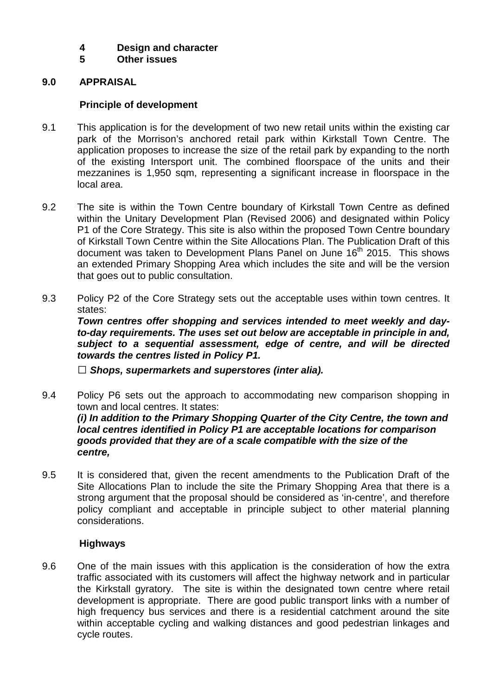# **4 Design and character**

**5 Other issues**

#### **9.0 APPRAISAL**

#### **Principle of development**

- 9.1 This application is for the development of two new retail units within the existing car park of the Morrison's anchored retail park within Kirkstall Town Centre. The application proposes to increase the size of the retail park by expanding to the north of the existing Intersport unit. The combined floorspace of the units and their mezzanines is 1,950 sqm, representing a significant increase in floorspace in the local area.
- 9.2 The site is within the Town Centre boundary of Kirkstall Town Centre as defined within the Unitary Development Plan (Revised 2006) and designated within Policy P1 of the Core Strategy. This site is also within the proposed Town Centre boundary of Kirkstall Town Centre within the Site Allocations Plan. The Publication Draft of this document was taken to Development Plans Panel on June 16<sup>th</sup> 2015. This shows an extended Primary Shopping Area which includes the site and will be the version that goes out to public consultation.
- 9.3 Policy P2 of the Core Strategy sets out the acceptable uses within town centres. It states:

*Town centres offer shopping and services intended to meet weekly and dayto-day requirements. The uses set out below are acceptable in principle in and, subject to a sequential assessment, edge of centre, and will be directed towards the centres listed in Policy P1.*

*Shops, supermarkets and superstores (inter alia).*

- 9.4 Policy P6 sets out the approach to accommodating new comparison shopping in town and local centres. It states: *(i) In addition to the Primary Shopping Quarter of the City Centre, the town and local centres identified in Policy P1 are acceptable locations for comparison goods provided that they are of a scale compatible with the size of the centre,*
- 9.5 It is considered that, given the recent amendments to the Publication Draft of the Site Allocations Plan to include the site the Primary Shopping Area that there is a strong argument that the proposal should be considered as 'in-centre', and therefore policy compliant and acceptable in principle subject to other material planning considerations.

#### **Highways**

9.6 One of the main issues with this application is the consideration of how the extra traffic associated with its customers will affect the highway network and in particular the Kirkstall gyratory. The site is within the designated town centre where retail development is appropriate. There are good public transport links with a number of high frequency bus services and there is a residential catchment around the site within acceptable cycling and walking distances and good pedestrian linkages and cycle routes.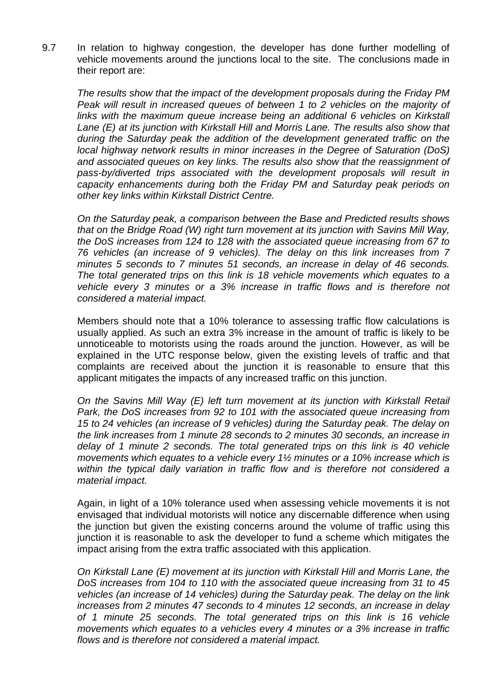9.7 In relation to highway congestion, the developer has done further modelling of vehicle movements around the junctions local to the site. The conclusions made in their report are:

*The results show that the impact of the development proposals during the Friday PM Peak will result in increased queues of between 1 to 2 vehicles on the majority of links with the maximum queue increase being an additional 6 vehicles on Kirkstall Lane (E) at its junction with Kirkstall Hill and Morris Lane. The results also show that during the Saturday peak the addition of the development generated traffic on the local highway network results in minor increases in the Degree of Saturation (DoS) and associated queues on key links. The results also show that the reassignment of pass-by/diverted trips associated with the development proposals will result in capacity enhancements during both the Friday PM and Saturday peak periods on other key links within Kirkstall District Centre.*

*On the Saturday peak, a comparison between the Base and Predicted results shows that on the Bridge Road (W) right turn movement at its junction with Savins Mill Way, the DoS increases from 124 to 128 with the associated queue increasing from 67 to 76 vehicles (an increase of 9 vehicles). The delay on this link increases from 7 minutes 5 seconds to 7 minutes 51 seconds, an increase in delay of 46 seconds. The total generated trips on this link is 18 vehicle movements which equates to a vehicle every 3 minutes or a 3% increase in traffic flows and is therefore not considered a material impact.*

Members should note that a 10% tolerance to assessing traffic flow calculations is usually applied. As such an extra 3% increase in the amount of traffic is likely to be unnoticeable to motorists using the roads around the junction. However, as will be explained in the UTC response below, given the existing levels of traffic and that complaints are received about the junction it is reasonable to ensure that this applicant mitigates the impacts of any increased traffic on this junction.

*On the Savins Mill Way (E) left turn movement at its junction with Kirkstall Retail Park, the DoS increases from 92 to 101 with the associated queue increasing from 15 to 24 vehicles (an increase of 9 vehicles) during the Saturday peak. The delay on the link increases from 1 minute 28 seconds to 2 minutes 30 seconds, an increase in delay of 1 minute 2 seconds. The total generated trips on this link is 40 vehicle movements which equates to a vehicle every 1½ minutes or a 10% increase which is within the typical daily variation in traffic flow and is therefore not considered a material impact.*

Again, in light of a 10% tolerance used when assessing vehicle movements it is not envisaged that individual motorists will notice any discernable difference when using the junction but given the existing concerns around the volume of traffic using this junction it is reasonable to ask the developer to fund a scheme which mitigates the impact arising from the extra traffic associated with this application.

*On Kirkstall Lane (E) movement at its junction with Kirkstall Hill and Morris Lane, the DoS increases from 104 to 110 with the associated queue increasing from 31 to 45 vehicles (an increase of 14 vehicles) during the Saturday peak. The delay on the link increases from 2 minutes 47 seconds to 4 minutes 12 seconds, an increase in delay of 1 minute 25 seconds. The total generated trips on this link is 16 vehicle movements which equates to a vehicles every 4 minutes or a 3% increase in traffic flows and is therefore not considered a material impact.*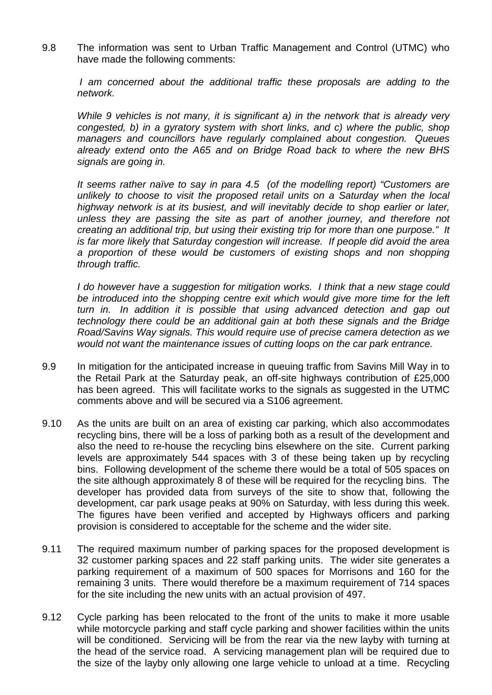9.8 The information was sent to Urban Traffic Management and Control (UTMC) who have made the following comments:

*I* am concerned about the additional traffic these proposals are adding to the *network.*

*While 9 vehicles is not many, it is significant a) in the network that is already very congested, b) in a gyratory system with short links, and c) where the public, shop managers and councillors have regularly complained about congestion. Queues already extend onto the A65 and on Bridge Road back to where the new BHS signals are going in.*

*It seems rather naïve to say in para 4.5 (of the modelling report) "Customers are unlikely to choose to visit the proposed retail units on a Saturday when the local highway network is at its busiest, and will inevitably decide to shop earlier or later, unless they are passing the site as part of another journey, and therefore not creating an additional trip, but using their existing trip for more than one purpose." It is far more likely that Saturday congestion will increase. If people did avoid the area a proportion of these would be customers of existing shops and non shopping through traffic.*

*I do however have a suggestion for mitigation works. I think that a new stage could*  be introduced into the shopping centre exit which would give more time for the left *turn in. In addition it is possible that using advanced detection and gap out technology there could be an additional gain at both these signals and the Bridge Road/Savins Way signals. This would require use of precise camera detection as we would not want the maintenance issues of cutting loops on the car park entrance.*

- 9.9 In mitigation for the anticipated increase in queuing traffic from Savins Mill Way in to the Retail Park at the Saturday peak, an off-site highways contribution of £25,000 has been agreed. This will facilitate works to the signals as suggested in the UTMC comments above and will be secured via a S106 agreement.
- 9.10 As the units are built on an area of existing car parking, which also accommodates recycling bins, there will be a loss of parking both as a result of the development and also the need to re-house the recycling bins elsewhere on the site. Current parking levels are approximately 544 spaces with 3 of these being taken up by recycling bins. Following development of the scheme there would be a total of 505 spaces on the site although approximately 8 of these will be required for the recycling bins. The developer has provided data from surveys of the site to show that, following the development, car park usage peaks at 90% on Saturday, with less during this week. The figures have been verified and accepted by Highways officers and parking provision is considered to acceptable for the scheme and the wider site.
- 9.11 The required maximum number of parking spaces for the proposed development is 32 customer parking spaces and 22 staff parking units. The wider site generates a parking requirement of a maximum of 500 spaces for Morrisons and 160 for the remaining 3 units. There would therefore be a maximum requirement of 714 spaces for the site including the new units with an actual provision of 497.
- 9.12 Cycle parking has been relocated to the front of the units to make it more usable while motorcycle parking and staff cycle parking and shower facilities within the units will be conditioned. Servicing will be from the rear via the new layby with turning at the head of the service road. A servicing management plan will be required due to the size of the layby only allowing one large vehicle to unload at a time. Recycling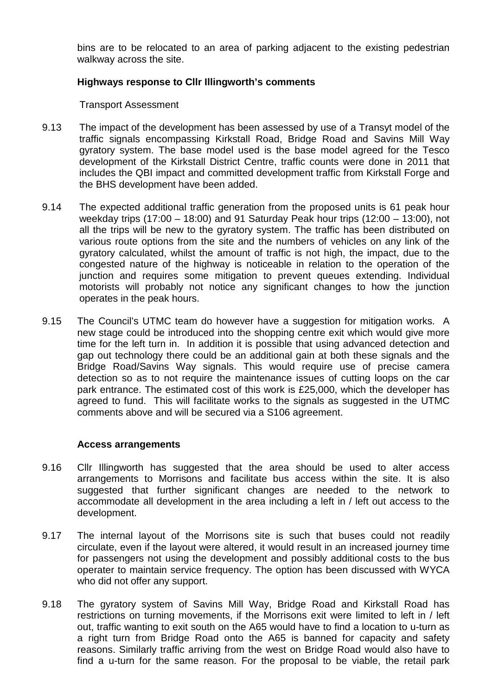bins are to be relocated to an area of parking adjacent to the existing pedestrian walkway across the site.

#### **Highways response to Cllr Illingworth's comments**

Transport Assessment

- 9.13 The impact of the development has been assessed by use of a Transyt model of the traffic signals encompassing Kirkstall Road, Bridge Road and Savins Mill Way gyratory system. The base model used is the base model agreed for the Tesco development of the Kirkstall District Centre, traffic counts were done in 2011 that includes the QBI impact and committed development traffic from Kirkstall Forge and the BHS development have been added.
- 9.14 The expected additional traffic generation from the proposed units is 61 peak hour weekday trips (17:00 – 18:00) and 91 Saturday Peak hour trips (12:00 – 13:00), not all the trips will be new to the gyratory system. The traffic has been distributed on various route options from the site and the numbers of vehicles on any link of the gyratory calculated, whilst the amount of traffic is not high, the impact, due to the congested nature of the highway is noticeable in relation to the operation of the junction and requires some mitigation to prevent queues extending. Individual motorists will probably not notice any significant changes to how the junction operates in the peak hours.
- 9.15 The Council's UTMC team do however have a suggestion for mitigation works. A new stage could be introduced into the shopping centre exit which would give more time for the left turn in. In addition it is possible that using advanced detection and gap out technology there could be an additional gain at both these signals and the Bridge Road/Savins Way signals. This would require use of precise camera detection so as to not require the maintenance issues of cutting loops on the car park entrance. The estimated cost of this work is £25,000, which the developer has agreed to fund. This will facilitate works to the signals as suggested in the UTMC comments above and will be secured via a S106 agreement.

#### **Access arrangements**

- 9.16 Cllr Illingworth has suggested that the area should be used to alter access arrangements to Morrisons and facilitate bus access within the site. It is also suggested that further significant changes are needed to the network to accommodate all development in the area including a left in / left out access to the development.
- 9.17 The internal layout of the Morrisons site is such that buses could not readily circulate, even if the layout were altered, it would result in an increased journey time for passengers not using the development and possibly additional costs to the bus operater to maintain service frequency. The option has been discussed with WYCA who did not offer any support.
- 9.18 The gyratory system of Savins Mill Way, Bridge Road and Kirkstall Road has restrictions on turning movements, if the Morrisons exit were limited to left in / left out, traffic wanting to exit south on the A65 would have to find a location to u-turn as a right turn from Bridge Road onto the A65 is banned for capacity and safety reasons. Similarly traffic arriving from the west on Bridge Road would also have to find a u-turn for the same reason. For the proposal to be viable, the retail park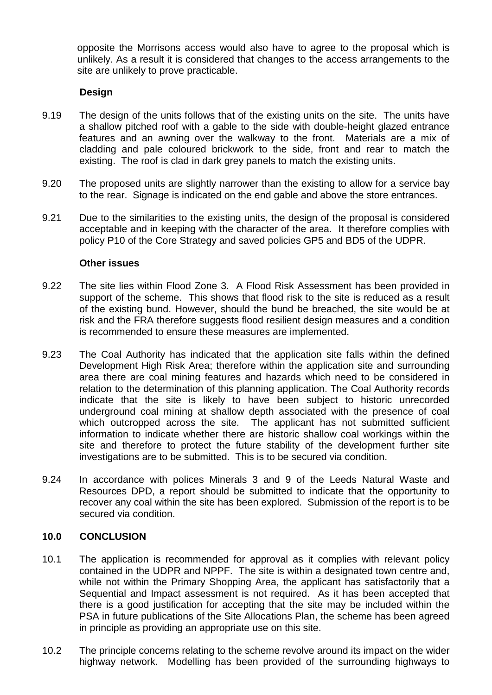opposite the Morrisons access would also have to agree to the proposal which is unlikely. As a result it is considered that changes to the access arrangements to the site are unlikely to prove practicable.

#### **Design**

- 9.19 The design of the units follows that of the existing units on the site. The units have a shallow pitched roof with a gable to the side with double-height glazed entrance features and an awning over the walkway to the front. Materials are a mix of cladding and pale coloured brickwork to the side, front and rear to match the existing. The roof is clad in dark grey panels to match the existing units.
- 9.20 The proposed units are slightly narrower than the existing to allow for a service bay to the rear. Signage is indicated on the end gable and above the store entrances.
- 9.21 Due to the similarities to the existing units, the design of the proposal is considered acceptable and in keeping with the character of the area. It therefore complies with policy P10 of the Core Strategy and saved policies GP5 and BD5 of the UDPR.

#### **Other issues**

- 9.22 The site lies within Flood Zone 3. A Flood Risk Assessment has been provided in support of the scheme. This shows that flood risk to the site is reduced as a result of the existing bund. However, should the bund be breached, the site would be at risk and the FRA therefore suggests flood resilient design measures and a condition is recommended to ensure these measures are implemented.
- 9.23 The Coal Authority has indicated that the application site falls within the defined Development High Risk Area; therefore within the application site and surrounding area there are coal mining features and hazards which need to be considered in relation to the determination of this planning application. The Coal Authority records indicate that the site is likely to have been subject to historic unrecorded underground coal mining at shallow depth associated with the presence of coal which outcropped across the site. The applicant has not submitted sufficient information to indicate whether there are historic shallow coal workings within the site and therefore to protect the future stability of the development further site investigations are to be submitted. This is to be secured via condition.
- 9.24 In accordance with polices Minerals 3 and 9 of the Leeds Natural Waste and Resources DPD, a report should be submitted to indicate that the opportunity to recover any coal within the site has been explored. Submission of the report is to be secured via condition.

#### **10.0 CONCLUSION**

- 10.1 The application is recommended for approval as it complies with relevant policy contained in the UDPR and NPPF. The site is within a designated town centre and, while not within the Primary Shopping Area, the applicant has satisfactorily that a Sequential and Impact assessment is not required. As it has been accepted that there is a good justification for accepting that the site may be included within the PSA in future publications of the Site Allocations Plan, the scheme has been agreed in principle as providing an appropriate use on this site.
- 10.2 The principle concerns relating to the scheme revolve around its impact on the wider highway network. Modelling has been provided of the surrounding highways to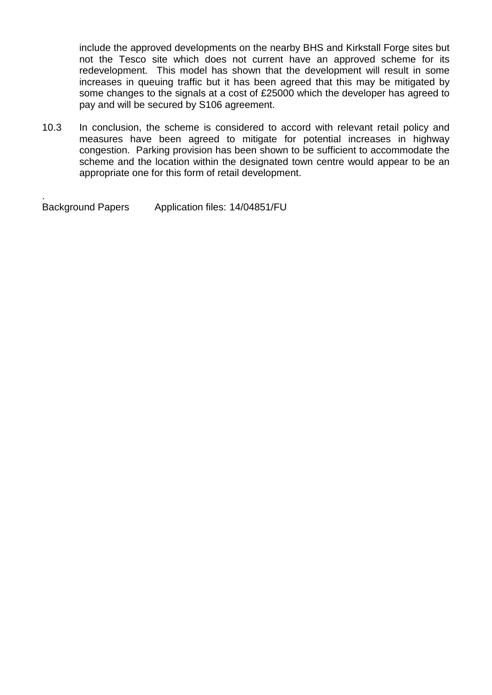include the approved developments on the nearby BHS and Kirkstall Forge sites but not the Tesco site which does not current have an approved scheme for its redevelopment. This model has shown that the development will result in some increases in queuing traffic but it has been agreed that this may be mitigated by some changes to the signals at a cost of £25000 which the developer has agreed to pay and will be secured by S106 agreement.

10.3 In conclusion, the scheme is considered to accord with relevant retail policy and measures have been agreed to mitigate for potential increases in highway congestion. Parking provision has been shown to be sufficient to accommodate the scheme and the location within the designated town centre would appear to be an appropriate one for this form of retail development.

**Background Papers** Application files: 14/04851/FU